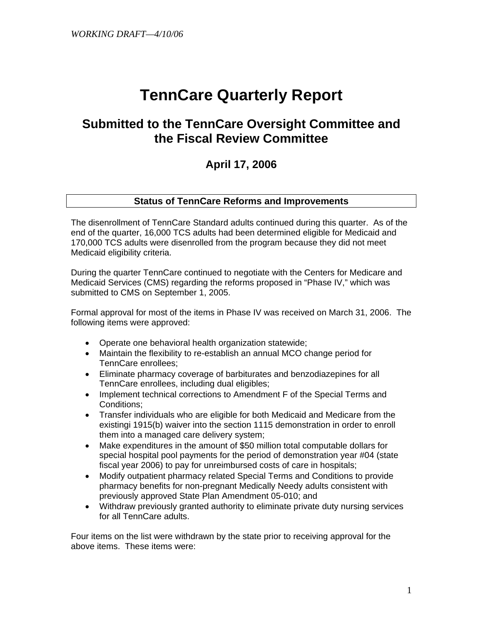# **TennCare Quarterly Report**

# **Submitted to the TennCare Oversight Committee and the Fiscal Review Committee**

# **April 17, 2006**

#### **Status of TennCare Reforms and Improvements**

The disenrollment of TennCare Standard adults continued during this quarter. As of the end of the quarter, 16,000 TCS adults had been determined eligible for Medicaid and 170,000 TCS adults were disenrolled from the program because they did not meet Medicaid eligibility criteria.

During the quarter TennCare continued to negotiate with the Centers for Medicare and Medicaid Services (CMS) regarding the reforms proposed in "Phase IV," which was submitted to CMS on September 1, 2005.

Formal approval for most of the items in Phase IV was received on March 31, 2006. The following items were approved:

- Operate one behavioral health organization statewide;
- Maintain the flexibility to re-establish an annual MCO change period for TennCare enrollees;
- Eliminate pharmacy coverage of barbiturates and benzodiazepines for all TennCare enrollees, including dual eligibles;
- Implement technical corrections to Amendment F of the Special Terms and Conditions;
- Transfer individuals who are eligible for both Medicaid and Medicare from the existingi 1915(b) waiver into the section 1115 demonstration in order to enroll them into a managed care delivery system;
- Make expenditures in the amount of \$50 million total computable dollars for special hospital pool payments for the period of demonstration year #04 (state fiscal year 2006) to pay for unreimbursed costs of care in hospitals;
- Modify outpatient pharmacy related Special Terms and Conditions to provide pharmacy benefits for non-pregnant Medically Needy adults consistent with previously approved State Plan Amendment 05-010; and
- Withdraw previously granted authority to eliminate private duty nursing services for all TennCare adults.

Four items on the list were withdrawn by the state prior to receiving approval for the above items. These items were: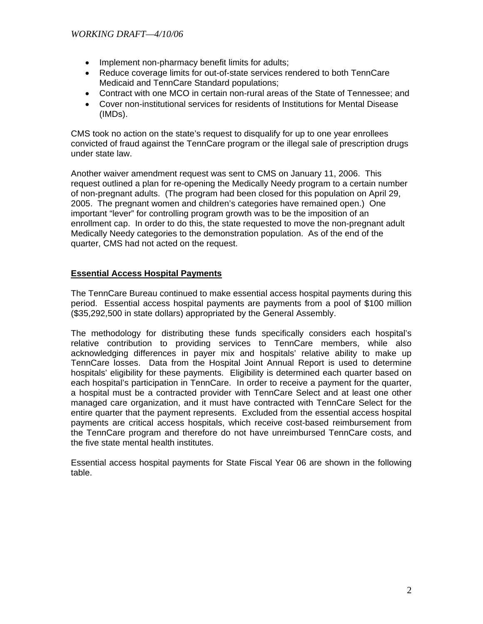- Implement non-pharmacy benefit limits for adults;
- Reduce coverage limits for out-of-state services rendered to both TennCare Medicaid and TennCare Standard populations;
- Contract with one MCO in certain non-rural areas of the State of Tennessee; and
- Cover non-institutional services for residents of Institutions for Mental Disease (IMDs).

CMS took no action on the state's request to disqualify for up to one year enrollees convicted of fraud against the TennCare program or the illegal sale of prescription drugs under state law.

Another waiver amendment request was sent to CMS on January 11, 2006. This request outlined a plan for re-opening the Medically Needy program to a certain number of non-pregnant adults. (The program had been closed for this population on April 29, 2005. The pregnant women and children's categories have remained open.) One important "lever" for controlling program growth was to be the imposition of an enrollment cap. In order to do this, the state requested to move the non-pregnant adult Medically Needy categories to the demonstration population. As of the end of the quarter, CMS had not acted on the request.

#### **Essential Access Hospital Payments**

 The TennCare Bureau continued to make essential access hospital payments during this period. Essential access hospital payments are payments from a pool of \$100 million (\$35,292,500 in state dollars) appropriated by the General Assembly.

The methodology for distributing these funds specifically considers each hospital's relative contribution to providing services to TennCare members, while also acknowledging differences in payer mix and hospitals' relative ability to make up TennCare losses. Data from the Hospital Joint Annual Report is used to determine hospitals' eligibility for these payments. Eligibility is determined each quarter based on each hospital's participation in TennCare. In order to receive a payment for the quarter, a hospital must be a contracted provider with TennCare Select and at least one other managed care organization, and it must have contracted with TennCare Select for the entire quarter that the payment represents. Excluded from the essential access hospital payments are critical access hospitals, which receive cost-based reimbursement from the TennCare program and therefore do not have unreimbursed TennCare costs, and the five state mental health institutes.

Essential access hospital payments for State Fiscal Year 06 are shown in the following table.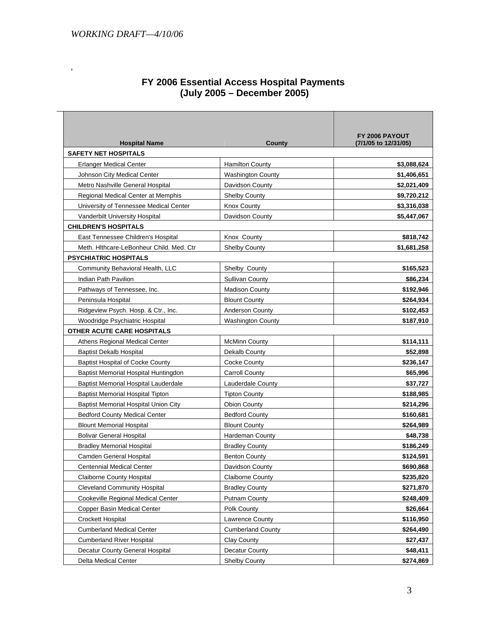$\mathcal{L}^{\text{max}}$ 

| FY 2006 Essential Access Hospital Payments |
|--------------------------------------------|
| (July 2005 – December 2005)                |

| <b>Hospital Name</b>                     | County                   | FY 2006 PAYOUT<br>(7/1/05 to 12/31/05) |
|------------------------------------------|--------------------------|----------------------------------------|
| <b>SAFETY NET HOSPITALS</b>              |                          |                                        |
| <b>Erlanger Medical Center</b>           | <b>Hamilton County</b>   | \$3,088,624                            |
| Johnson City Medical Center              | <b>Washington County</b> | \$1,406,651                            |
| Metro Nashville General Hospital         | Davidson County          | \$2,021,409                            |
| Regional Medical Center at Memphis       | Shelby County            | \$9,720,212                            |
| University of Tennessee Medical Center   | <b>Knox County</b>       | \$3,316,038                            |
| Vanderbilt University Hospital           | Davidson County          | \$5,447,067                            |
| <b>CHILDREN'S HOSPITALS</b>              |                          |                                        |
| East Tennessee Children's Hospital       | Knox County              | \$818,742                              |
| Meth. Hithcare-LeBonheur Child. Med. Ctr | <b>Shelby County</b>     | \$1,681,258                            |
| <b>PSYCHIATRIC HOSPITALS</b>             |                          |                                        |
| Community Behavioral Health, LLC         | Shelby County            | \$165,523                              |
| Indian Path Pavilion                     | <b>Sullivan County</b>   | \$86,234                               |
| Pathways of Tennessee, Inc.              | <b>Madison County</b>    | \$192,946                              |
| Peninsula Hospital                       | <b>Blount County</b>     | \$264,934                              |
| Ridgeview Psych. Hosp. & Ctr., Inc.      | <b>Anderson County</b>   | \$102,453                              |
| Woodridge Psychiatric Hospital           | <b>Washington County</b> | \$187,910                              |
| OTHER ACUTE CARE HOSPITALS               |                          |                                        |
| Athens Regional Medical Center           | <b>McMinn County</b>     | \$114,111                              |
| <b>Baptist Dekalb Hospital</b>           | Dekalb County            | \$52,898                               |
| <b>Baptist Hospital of Cocke County</b>  | Cocke County             | \$236,147                              |
| Baptist Memorial Hospital Huntingdon     | <b>Carroll County</b>    | \$65,996                               |
| Baptist Memorial Hospital Lauderdale     | Lauderdale County        | \$37,727                               |
| <b>Baptist Memorial Hospital Tipton</b>  | <b>Tipton County</b>     | \$188,985                              |
| Baptist Memorial Hospital Union City     | <b>Obion County</b>      | \$214,296                              |
| <b>Bedford County Medical Center</b>     | <b>Bedford County</b>    | \$160,681                              |
| <b>Blount Memorial Hospital</b>          | <b>Blount County</b>     | \$264,989                              |
| <b>Bolivar General Hospital</b>          | <b>Hardeman County</b>   | \$48,738                               |
| <b>Bradley Memorial Hospital</b>         | <b>Bradley County</b>    | \$186,249                              |
| <b>Camden General Hospital</b>           | <b>Benton County</b>     | \$124,591                              |
| Centennial Medical Center                | Davidson County          | \$690,868                              |
| <b>Claiborne County Hospital</b>         | Claiborne County         | \$235,820                              |
| <b>Cleveland Community Hospital</b>      | <b>Bradley County</b>    | \$271,870                              |
| Cookeville Regional Medical Center       | Putnam County            | \$248,409                              |
| Copper Basin Medical Center              | Polk County              | \$26,664                               |
| Crockett Hospital                        | Lawrence County          | \$116,950                              |
| <b>Cumberland Medical Center</b>         | <b>Cumberland County</b> | \$264,490                              |
| <b>Cumberland River Hospital</b>         | Clay County              | \$27,437                               |
| Decatur County General Hospital          | Decatur County           | \$48,411                               |
| Delta Medical Center                     | <b>Shelby County</b>     | \$274,869                              |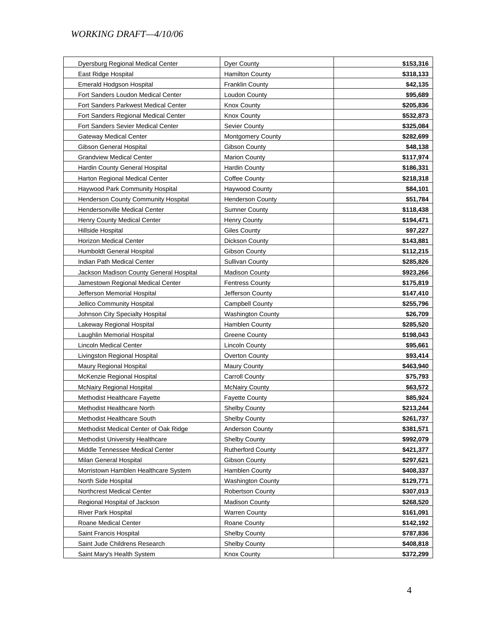| <b>Dyer County</b><br>Dyersburg Regional Medical Center          | \$153,316 |
|------------------------------------------------------------------|-----------|
|                                                                  |           |
| <b>Hamilton County</b><br>East Ridge Hospital                    | \$318,133 |
| Emerald Hodgson Hospital<br><b>Franklin County</b>               | \$42,135  |
| Fort Sanders Loudon Medical Center<br>Loudon County              | \$95,689  |
| <b>Fort Sanders Parkwest Medical Center</b><br>Knox County       | \$205,836 |
| Fort Sanders Regional Medical Center<br><b>Knox County</b>       | \$532,873 |
| Fort Sanders Sevier Medical Center<br>Sevier County              | \$325,084 |
| Gateway Medical Center<br><b>Montgomery County</b>               | \$282,699 |
| Gibson General Hospital<br>Gibson County                         | \$48,138  |
| <b>Grandview Medical Center</b><br><b>Marion County</b>          | \$117,974 |
| Hardin County General Hospital<br><b>Hardin County</b>           | \$186,331 |
| Harton Regional Medical Center<br>Coffee County                  | \$218,318 |
| Haywood Park Community Hospital<br><b>Haywood County</b>         | \$84,101  |
| Henderson County Community Hospital<br><b>Henderson County</b>   | \$51,784  |
| <b>Hendersonville Medical Center</b><br><b>Sumner County</b>     | \$118,438 |
| Henry County Medical Center<br><b>Henry County</b>               | \$194,471 |
| Hillside Hospital<br><b>Giles County</b>                         | \$97,227  |
| <b>Horizon Medical Center</b><br>Dickson County                  | \$143,881 |
| Humboldt General Hospital<br><b>Gibson County</b>                | \$112,215 |
| Indian Path Medical Center<br><b>Sullivan County</b>             | \$285,826 |
| Jackson Madison County General Hospital<br><b>Madison County</b> | \$923,266 |
| Jamestown Regional Medical Center<br><b>Fentress County</b>      | \$175,819 |
| Jefferson Memorial Hospital<br>Jefferson County                  | \$147,410 |
| Jellico Community Hospital<br><b>Campbell County</b>             | \$255,796 |
| Johnson City Specialty Hospital<br><b>Washington County</b>      | \$26,709  |
| Lakeway Regional Hospital<br>Hamblen County                      | \$285,520 |
| Laughlin Memorial Hospital<br><b>Greene County</b>               | \$198,043 |
| Lincoln Medical Center<br>Lincoln County                         | \$95,661  |
| Livingston Regional Hospital<br>Overton County                   | \$93,414  |
| Maury Regional Hospital<br><b>Maury County</b>                   | \$463,940 |
| McKenzie Regional Hospital<br><b>Carroll County</b>              | \$75,793  |
| McNairy County<br><b>McNairy Regional Hospital</b>               | \$63,572  |
| Methodist Healthcare Fayette<br><b>Fayette County</b>            | \$85,924  |
| Methodist Healthcare North<br><b>Shelby County</b>               | \$213,244 |
| Methodist Healthcare South<br><b>Shelby County</b>               | \$261,737 |
| Methodist Medical Center of Oak Ridge<br>Anderson County         | \$381,571 |
| Methodist University Healthcare<br><b>Shelby County</b>          | \$992,079 |
| Middle Tennessee Medical Center<br><b>Rutherford County</b>      | \$421,377 |
| Gibson County<br>Milan General Hospital                          | \$297,621 |
| Morristown Hamblen Healthcare System<br>Hamblen County           | \$408,337 |
| <b>Washington County</b><br>North Side Hospital                  | \$129,771 |
| Northcrest Medical Center<br><b>Robertson County</b>             | \$307,013 |
| Regional Hospital of Jackson<br><b>Madison County</b>            | \$268,520 |
| <b>River Park Hospital</b><br><b>Warren County</b>               | \$161,091 |
| Roane Medical Center<br>Roane County                             | \$142,192 |
| Saint Francis Hospital<br>Shelby County                          | \$787,836 |
| Saint Jude Childrens Research<br>Shelby County                   | \$408,818 |
|                                                                  | \$372,299 |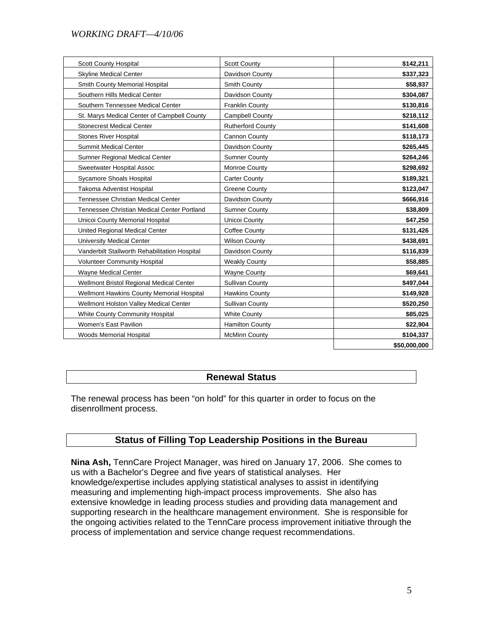| <b>Scott County Hospital</b>                  | <b>Scott County</b>      | \$142,211    |
|-----------------------------------------------|--------------------------|--------------|
| <b>Skyline Medical Center</b>                 | Davidson County          | \$337,323    |
| Smith County Memorial Hospital                | Smith County             | \$58,937     |
| Southern Hills Medical Center                 | Davidson County          | \$304,087    |
| Southern Tennessee Medical Center             | <b>Franklin County</b>   | \$130,816    |
| St. Marys Medical Center of Campbell County   | <b>Campbell County</b>   | \$218,112    |
| <b>Stonecrest Medical Center</b>              | <b>Rutherford County</b> | \$141,608    |
| <b>Stones River Hospital</b>                  | Cannon County            | \$118,173    |
| <b>Summit Medical Center</b>                  | Davidson County          | \$265,445    |
| Sumner Regional Medical Center                | <b>Sumner County</b>     | \$264,246    |
| Sweetwater Hospital Assoc                     | Monroe County            | \$298,692    |
| Sycamore Shoals Hospital                      | <b>Carter County</b>     | \$189,321    |
| Takoma Adventist Hospital                     | <b>Greene County</b>     | \$123,047    |
| <b>Tennessee Christian Medical Center</b>     | Davidson County          | \$666,916    |
| Tennessee Christian Medical Center Portland   | <b>Sumner County</b>     | \$38,809     |
| Unicoi County Memorial Hospital               | Unicoi County            | \$47,250     |
| United Regional Medical Center                | Coffee County            | \$131,426    |
| <b>University Medical Center</b>              | <b>Wilson County</b>     | \$438,691    |
| Vanderbilt Stallworth Rehabilitation Hospital | Davidson County          | \$116,839    |
| <b>Volunteer Community Hospital</b>           | <b>Weakly County</b>     | \$58,885     |
| Wayne Medical Center                          | <b>Wayne County</b>      | \$69,641     |
| Wellmont Bristol Regional Medical Center      | <b>Sullivan County</b>   | \$497,044    |
| Wellmont Hawkins County Memorial Hospital     | <b>Hawkins County</b>    | \$149,928    |
| Wellmont Holston Valley Medical Center        | Sullivan County          | \$520,250    |
| White County Community Hospital               | <b>White County</b>      | \$85,025     |
| Women's East Pavilion                         | <b>Hamilton County</b>   | \$22,904     |
| <b>Woods Memorial Hospital</b>                | <b>McMinn County</b>     | \$104,337    |
|                                               |                          | \$50,000,000 |

#### **Renewal Status**

The renewal process has been "on hold" for this quarter in order to focus on the disenrollment process.

#### **Status of Filling Top Leadership Positions in the Bureau**

**Nina Ash,** TennCare Project Manager, was hired on January 17, 2006. She comes to us with a Bachelor's Degree and five years of statistical analyses. Her knowledge/expertise includes applying statistical analyses to assist in identifying measuring and implementing high-impact process improvements. She also has extensive knowledge in leading process studies and providing data management and supporting research in the healthcare management environment. She is responsible for the ongoing activities related to the TennCare process improvement initiative through the process of implementation and service change request recommendations.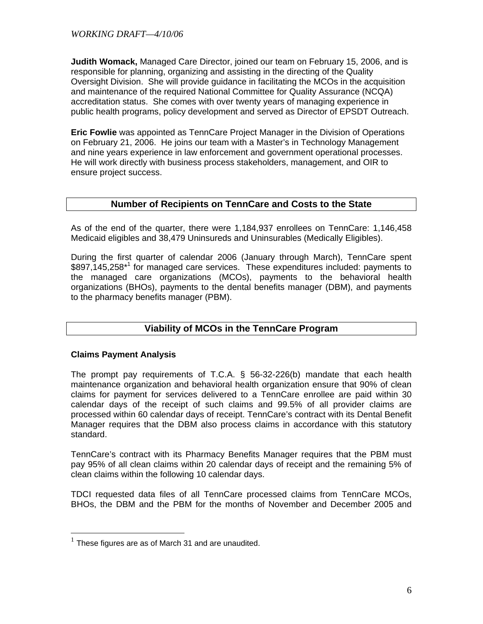**Judith Womack,** Managed Care Director, joined our team on February 15, 2006, and is responsible for planning, organizing and assisting in the directing of the Quality Oversight Division. She will provide guidance in facilitating the MCOs in the acquisition and maintenance of the required National Committee for Quality Assurance (NCQA) accreditation status. She comes with over twenty years of managing experience in public health programs, policy development and served as Director of EPSDT Outreach.

**Eric Fowlie** was appointed as TennCare Project Manager in the Division of Operations on February 21, 2006. He joins our team with a Master's in Technology Management and nine years experience in law enforcement and government operational processes. He will work directly with business process stakeholders, management, and OIR to ensure project success.

#### **Number of Recipients on TennCare and Costs to the State**

As of the end of the quarter, there were 1,184,937 enrollees on TennCare: 1,146,458 Medicaid eligibles and 38,479 Uninsureds and Uninsurables (Medically Eligibles).

During the first quarter of calendar 2006 (January through March), TennCare spent \$897,145,258<sup>\*1</sup> for managed care services. These expenditures included: payments to the managed care organizations (MCOs), payments to the behavioral health organizations (BHOs), payments to the dental benefits manager (DBM), and payments to the pharmacy benefits manager (PBM).

## **Viability of MCOs in the TennCare Program**

#### **Claims Payment Analysis**

 $\overline{a}$ 

The prompt pay requirements of T.C.A. § 56-32-226(b) mandate that each health maintenance organization and behavioral health organization ensure that 90% of clean claims for payment for services delivered to a TennCare enrollee are paid within 30 calendar days of the receipt of such claims and 99.5% of all provider claims are processed within 60 calendar days of receipt. TennCare's contract with its Dental Benefit Manager requires that the DBM also process claims in accordance with this statutory standard.

TennCare's contract with its Pharmacy Benefits Manager requires that the PBM must pay 95% of all clean claims within 20 calendar days of receipt and the remaining 5% of clean claims within the following 10 calendar days.

TDCI requested data files of all TennCare processed claims from TennCare MCOs, BHOs, the DBM and the PBM for the months of November and December 2005 and

 $1$  These figures are as of March 31 and are unaudited.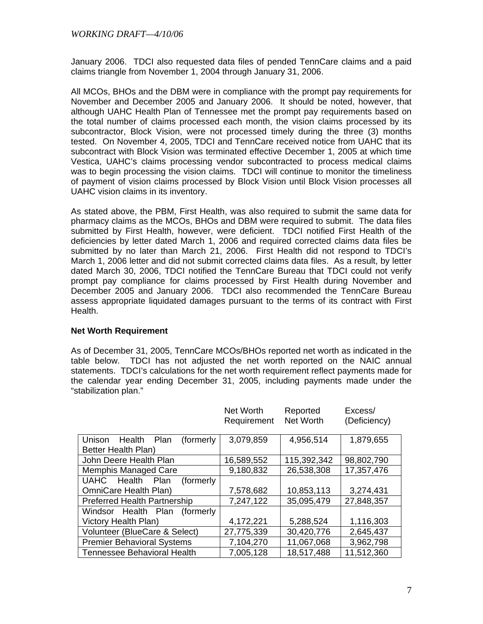January 2006. TDCI also requested data files of pended TennCare claims and a paid claims triangle from November 1, 2004 through January 31, 2006.

All MCOs, BHOs and the DBM were in compliance with the prompt pay requirements for November and December 2005 and January 2006. It should be noted, however, that although UAHC Health Plan of Tennessee met the prompt pay requirements based on the total number of claims processed each month, the vision claims processed by its subcontractor, Block Vision, were not processed timely during the three (3) months tested. On November 4, 2005, TDCI and TennCare received notice from UAHC that its subcontract with Block Vision was terminated effective December 1, 2005 at which time Vestica, UAHC's claims processing vendor subcontracted to process medical claims was to begin processing the vision claims. TDCI will continue to monitor the timeliness of payment of vision claims processed by Block Vision until Block Vision processes all UAHC vision claims in its inventory.

As stated above, the PBM, First Health, was also required to submit the same data for pharmacy claims as the MCOs, BHOs and DBM were required to submit. The data files submitted by First Health, however, were deficient. TDCI notified First Health of the deficiencies by letter dated March 1, 2006 and required corrected claims data files be submitted by no later than March 21, 2006. First Health did not respond to TDCI's March 1, 2006 letter and did not submit corrected claims data files. As a result, by letter dated March 30, 2006, TDCI notified the TennCare Bureau that TDCI could not verify prompt pay compliance for claims processed by First Health during November and December 2005 and January 2006. TDCI also recommended the TennCare Bureau assess appropriate liquidated damages pursuant to the terms of its contract with First Health.

#### **Net Worth Requirement**

As of December 31, 2005, TennCare MCOs/BHOs reported net worth as indicated in the table below. TDCI has not adjusted the net worth reported on the NAIC annual statements. TDCI's calculations for the net worth requirement reflect payments made for the calendar year ending December 31, 2005, including payments made under the "stabilization plan."

|                                      | Net Worth<br>Requirement | Reported<br>Net Worth | Excess/<br>(Deficiency) |
|--------------------------------------|--------------------------|-----------------------|-------------------------|
|                                      |                          |                       |                         |
| Unison<br>Health Plan<br>(formerly)  | 3,079,859                | 4,956,514             | 1,879,655               |
| Better Health Plan)                  |                          |                       |                         |
| John Deere Health Plan               | 16,589,552               | 115,392,342           | 98,802,790              |
| <b>Memphis Managed Care</b>          | 9,180,832                | 26,538,308            | 17,357,476              |
| UAHC Health<br>Plan<br>(formerly)    |                          |                       |                         |
| OmniCare Health Plan)                | 7,578,682                | 10,853,113            | 3,274,431               |
| <b>Preferred Health Partnership</b>  | 7,247,122                | 35,095,479            | 27,848,357              |
| Health Plan<br>Windsor<br>(formerly) |                          |                       |                         |
| Victory Health Plan)                 | 4,172,221                | 5,288,524             | 1,116,303               |
| Volunteer (BlueCare & Select)        | 27,775,339               | 30,420,776            | 2,645,437               |
| <b>Premier Behavioral Systems</b>    | 7,104,270                | 11,067,068            | 3,962,798               |
| <b>Tennessee Behavioral Health</b>   | 7,005,128                | 18,517,488            | 11,512,360              |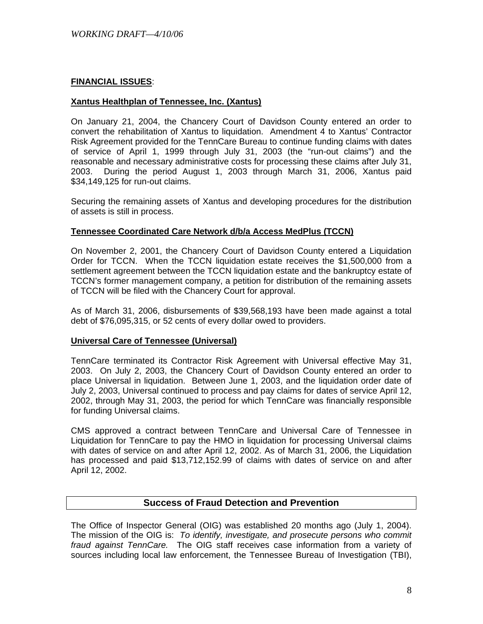#### **FINANCIAL ISSUES**:

#### **Xantus Healthplan of Tennessee, Inc. (Xantus)**

On January 21, 2004, the Chancery Court of Davidson County entered an order to convert the rehabilitation of Xantus to liquidation. Amendment 4 to Xantus' Contractor Risk Agreement provided for the TennCare Bureau to continue funding claims with dates of service of April 1, 1999 through July 31, 2003 (the "run-out claims") and the reasonable and necessary administrative costs for processing these claims after July 31, 2003. During the period August 1, 2003 through March 31, 2006, Xantus paid \$34,149,125 for run-out claims.

Securing the remaining assets of Xantus and developing procedures for the distribution of assets is still in process.

#### **Tennessee Coordinated Care Network d/b/a Access MedPlus (TCCN)**

On November 2, 2001, the Chancery Court of Davidson County entered a Liquidation Order for TCCN. When the TCCN liquidation estate receives the \$1,500,000 from a settlement agreement between the TCCN liquidation estate and the bankruptcy estate of TCCN's former management company, a petition for distribution of the remaining assets of TCCN will be filed with the Chancery Court for approval.

As of March 31, 2006, disbursements of \$39,568,193 have been made against a total debt of \$76,095,315, or 52 cents of every dollar owed to providers.

#### **Universal Care of Tennessee (Universal)**

TennCare terminated its Contractor Risk Agreement with Universal effective May 31, 2003. On July 2, 2003, the Chancery Court of Davidson County entered an order to place Universal in liquidation. Between June 1, 2003, and the liquidation order date of July 2, 2003, Universal continued to process and pay claims for dates of service April 12, 2002, through May 31, 2003, the period for which TennCare was financially responsible for funding Universal claims.

CMS approved a contract between TennCare and Universal Care of Tennessee in Liquidation for TennCare to pay the HMO in liquidation for processing Universal claims with dates of service on and after April 12, 2002. As of March 31, 2006, the Liquidation has processed and paid \$13,712,152.99 of claims with dates of service on and after April 12, 2002.

#### **Success of Fraud Detection and Prevention**

The Office of Inspector General (OIG) was established 20 months ago (July 1, 2004). The mission of the OIG is: *To identify, investigate, and prosecute persons who commit fraud against TennCare.* The OIG staff receives case information from a variety of sources including local law enforcement, the Tennessee Bureau of Investigation (TBI),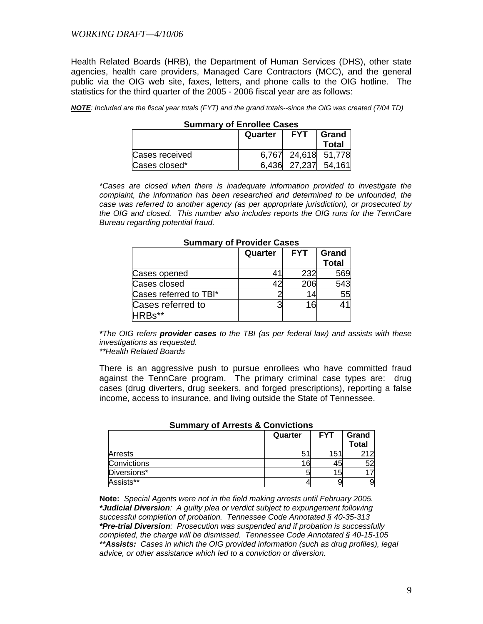Health Related Boards (HRB), the Department of Human Services (DHS), other state agencies, health care providers, Managed Care Contractors (MCC), and the general public via the OIG web site, faxes, letters, and phone calls to the OIG hotline. The statistics for the third quarter of the 2005 - 2006 fiscal year are as follows:

| NOTE: Included are the fiscal year totals (FYT) and the grand totals--since the OIG was created (7/04 TD) |  |  |
|-----------------------------------------------------------------------------------------------------------|--|--|
|-----------------------------------------------------------------------------------------------------------|--|--|

| Summary of Enrollee Cases                      |  |              |                     |  |
|------------------------------------------------|--|--------------|---------------------|--|
| <b>FYT</b><br>Grand<br>Quarter<br><b>Total</b> |  |              |                     |  |
| Cases received                                 |  |              | 6,767 24,618 51,778 |  |
| Cases closed*                                  |  | 6.436 27.237 | 54,161              |  |

# **Summary of Enrollee Cases**

*\*Cases are closed when there is inadequate information provided to investigate the complaint, the information has been researched and determined to be unfounded, the case was referred to another agency (as per appropriate jurisdiction), or prosecuted by the OIG and closed. This number also includes reports the OIG runs for the TennCare Bureau regarding potential fraud.* 

| OUIIIIIIIII V UI TUVIUCI OGSCS |                                                |     |     |  |
|--------------------------------|------------------------------------------------|-----|-----|--|
|                                | <b>FYT</b><br>Grand<br>Quarter<br><b>Total</b> |     |     |  |
| Cases opened                   |                                                | 232 | 569 |  |
| Cases closed                   | 42                                             | 206 | 543 |  |
| Cases referred to TBI*         |                                                |     | 55  |  |
| Cases referred to<br>HRBs**    | я                                              | 1ผ  | 41  |  |

#### **Summary of Provider Cases**

*\*The OIG refers provider cases to the TBI (as per federal law) and assists with these investigations as requested.* 

 *\*\*Health Related Boards* 

 There is an aggressive push to pursue enrollees who have committed fraud against the TennCare program. The primary criminal case types are: drug cases (drug diverters, drug seekers, and forged prescriptions), reporting a false income, access to insurance, and living outside the State of Tennessee.

| <u>ominimi v vi siloolo G oviisivliolio</u> |         |            |                       |  |
|---------------------------------------------|---------|------------|-----------------------|--|
|                                             | Quarter | <b>FYT</b> | Grand<br><b>Total</b> |  |
| Arrests                                     | Ð       | 151        | つイワ                   |  |
| Convictions                                 | 16      | 45         | 52                    |  |
| Diversions*                                 |         | 15         |                       |  |
| Assists**                                   |         |            | 9                     |  |

#### **Summary of Arrests & Convictions**

**Note:** *Special Agents were not in the field making arrests until February 2005. \*Judicial Diversion: A guilty plea or verdict subject to expungement following successful completion of probation. Tennessee Code Annotated § 40-35-313 \*Pre-trial Diversion: Prosecution was suspended and if probation is successfully completed, the charge will be dismissed. Tennessee Code Annotated § 40-15-105 \*\*Assists: Cases in which the OIG provided information (such as drug profiles), legal advice, or other assistance which led to a conviction or diversion.*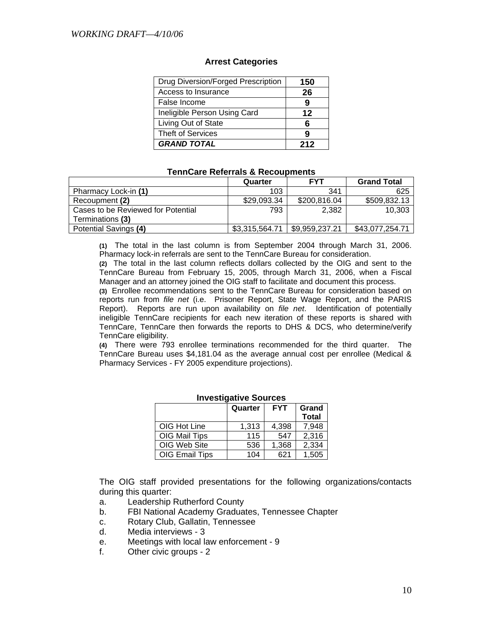#### **Arrest Categories**

| Drug Diversion/Forged Prescription | 150 |
|------------------------------------|-----|
| Access to Insurance                | 26  |
| False Income                       | 9   |
| Ineligible Person Using Card       | 12  |
| Living Out of State                |     |
| <b>Theft of Services</b>           | q   |
| <b>GRAND TOTAL</b>                 | 212 |

#### **TennCare Referrals & Recoupments**

|                                    | Quarter        | <b>FYT</b>     | <b>Grand Total</b> |
|------------------------------------|----------------|----------------|--------------------|
| Pharmacy Lock-in (1)               | 103            | 341            | 625                |
| Recoupment (2)                     | \$29,093.34    | \$200,816.04   | \$509,832.13       |
| Cases to be Reviewed for Potential | 793            | 2.382          | 10.303             |
| Terminations (3)                   |                |                |                    |
| Potential Savings (4)              | \$3,315,564.71 | \$9,959,237.21 | \$43,077,254.71    |

 **(1)** The total in the last column is from September 2004 through March 31, 2006. Pharmacy lock-in referrals are sent to the TennCare Bureau for consideration.

**(2)** The total in the last column reflects dollars collected by the OIG and sent to the TennCare Bureau from February 15, 2005, through March 31, 2006, when a Fiscal Manager and an attorney joined the OIG staff to facilitate and document this process.

**(3)** Enrollee recommendations sent to the TennCare Bureau for consideration based on reports run from *file net* (i.e. Prisoner Report, State Wage Report, and the PARIS Report). Reports are run upon availability on *file net*. Identification of potentially ineligible TennCare recipients for each new iteration of these reports is shared with TennCare, TennCare then forwards the reports to DHS & DCS, who determine/verify TennCare eligibility.

**(4)** There were 793 enrollee terminations recommended for the third quarter. The TennCare Bureau uses \$4,181.04 as the average annual cost per enrollee (Medical & Pharmacy Services - FY 2005 expenditure projections).

|                       | Quarter | <b>FYT</b> | Grand        |
|-----------------------|---------|------------|--------------|
|                       |         |            | <b>Total</b> |
| OIG Hot Line          | 1,313   | 4,398      | 7,948        |
| OIG Mail Tips         | 115     | 547        | 2,316        |
| OIG Web Site          | 536     | 1,368      | 2,334        |
| <b>OIG Email Tips</b> | 104     | 621        | 1,505        |

#### **Investigative Sources**

 The OIG staff provided presentations for the following organizations/contacts during this quarter:

- a. Leadership Rutherford County
- b. FBI National Academy Graduates, Tennessee Chapter
- c. Rotary Club, Gallatin, Tennessee
- d. Media interviews 3
- e. Meetings with local law enforcement 9
- f. Other civic groups 2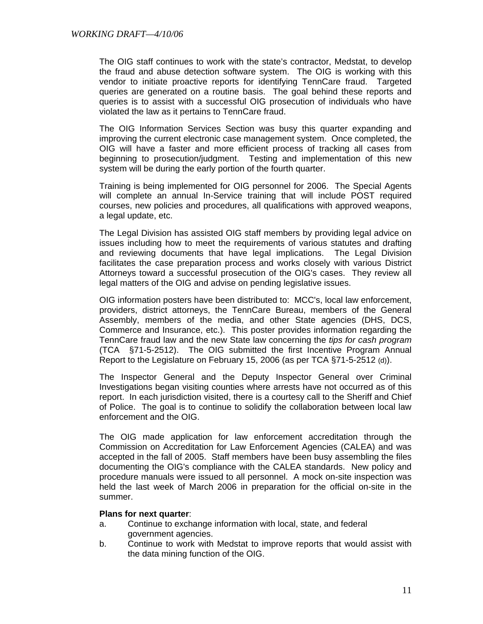The OIG staff continues to work with the state's contractor, Medstat, to develop the fraud and abuse detection software system. The OIG is working with this vendor to initiate proactive reports for identifying TennCare fraud. Targeted queries are generated on a routine basis. The goal behind these reports and queries is to assist with a successful OIG prosecution of individuals who have violated the law as it pertains to TennCare fraud.

 The OIG Information Services Section was busy this quarter expanding and improving the current electronic case management system. Once completed, the OIG will have a faster and more efficient process of tracking all cases from beginning to prosecution/judgment. Testing and implementation of this new system will be during the early portion of the fourth quarter.

 Training is being implemented for OIG personnel for 2006. The Special Agents will complete an annual In-Service training that will include POST required courses, new policies and procedures, all qualifications with approved weapons, a legal update, etc.

 The Legal Division has assisted OIG staff members by providing legal advice on issues including how to meet the requirements of various statutes and drafting and reviewing documents that have legal implications. The Legal Division facilitates the case preparation process and works closely with various District Attorneys toward a successful prosecution of the OIG's cases. They review all legal matters of the OIG and advise on pending legislative issues.

 OIG information posters have been distributed to: MCC's, local law enforcement, providers, district attorneys, the TennCare Bureau, members of the General Assembly, members of the media, and other State agencies (DHS, DCS, Commerce and Insurance, etc.). This poster provides information regarding the TennCare fraud law and the new State law concerning the *tips for cash program* (TCA §71-5-2512). The OIG submitted the first Incentive Program Annual Report to the Legislature on February 15, 2006 (as per TCA §71-5-2512 (d)).

The Inspector General and the Deputy Inspector General over Criminal Investigations began visiting counties where arrests have not occurred as of this report. In each jurisdiction visited, there is a courtesy call to the Sheriff and Chief of Police. The goal is to continue to solidify the collaboration between local law enforcement and the OIG.

The OIG made application for law enforcement accreditation through the Commission on Accreditation for Law Enforcement Agencies (CALEA) and was accepted in the fall of 2005. Staff members have been busy assembling the files documenting the OIG's compliance with the CALEA standards. New policy and procedure manuals were issued to all personnel. A mock on-site inspection was held the last week of March 2006 in preparation for the official on-site in the summer.

#### **Plans for next quarter**:

- a. Continue to exchange information with local, state, and federal government agencies.
- b. Continue to work with Medstat to improve reports that would assist with the data mining function of the OIG.